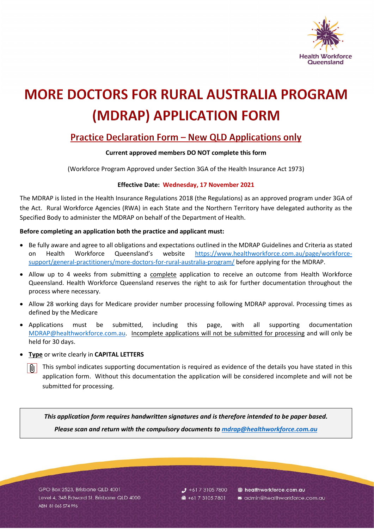

# **MORE DOCTORS FOR RURAL AUSTRALIA PROGRAM** (MDRAP) APPLICATION FORM

## Practice Declaration Form - New QLD Applications only

### **Current approved members DO NOT complete this form**

(Workforce Program Approved under Section 3GA of the Health Insurance Act 1973)

### **Effective Date: Wednesday, 17 November 2021**

The MDRAP is listed in the Health Insurance Regulations 2018 (the Regulations) as an approved program under 3GA of the Act. Rural Workforce Agencies (RWA) in each State and the Northern Territory have delegated authority as the Specified Body to administer the MDRAP on behalf of the Department of Health.

### **Before completing an application both the practice and applicant must:**

- Be fully aware and agree to all obligations and expectations outlined in the MDRAP Guidelines and Criteria as stated on Health Workforce Queensland's website [https://www.healthworkforce.com.au/page/workforce](https://www.healthworkforce.com.au/page/workforce-support/general-practitioners/more-doctors-for-rural-australia-program/)[support/general-practitioners/more-doctors-for-rural-australia-program/](https://www.healthworkforce.com.au/page/workforce-support/general-practitioners/more-doctors-for-rural-australia-program/) before applying for the MDRAP.
- Allow up to 4 weeks from submitting a complete application to receive an outcome from Health Workforce Queensland. Health Workforce Queensland reserves the right to ask for further documentation throughout the process where necessary.
- Allow 28 working days for Medicare provider number processing following MDRAP approval. Processing times as defined by the Medicare
- Applications must be submitted, including this page, with all supporting documentation [MDRAP@healthworkforce.com.au.](mailto:MDRAP@healthworkforce.com.au) Incomplete applications will not be submitted for processing and will only be held for 30 days.
- **Type** or write clearly in **CAPITAL LETTERS**
	- This symbol indicates supporting documentation is required as evidence of the details you have stated in this . Oi application form. Without this documentation the application will be considered incomplete and will not be submitted for processing.

*This application form requires handwritten signatures and is therefore intended to be paper based. Please scan and return with the compulsory documents to [mdrap@healthworkforce.com.au](mailto:mdrap@healthworkforce.com.au)*

GPO Box 2523, Brisbane QLD 4001 Level 4, 348 Edward St, Brisbane QLD 4000 ABN 81 065 574 996

 $J$  +61 7 3105 7800 ■ +61 7 3105 7801

healthworkforce.com.au admin@healthworkforce.com.au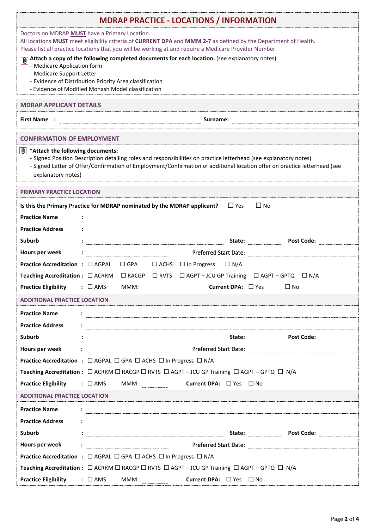| <b>MDRAP PRACTICE - LOCATIONS / INFORMATION</b>                                                                                                                                                                                                                                                                                    |                                                                                                                                                                                                                                        |  |  |
|------------------------------------------------------------------------------------------------------------------------------------------------------------------------------------------------------------------------------------------------------------------------------------------------------------------------------------|----------------------------------------------------------------------------------------------------------------------------------------------------------------------------------------------------------------------------------------|--|--|
| Doctors on MDRAP MUST have a Primary Location.<br>All locations <b>MUST</b> meet eligibility criteria of <b>CURRENT DPA</b> and <b>MMM 2-7</b> as defined by the Department of Health.<br>Please list all practice locations that you will be working at and require a Medicare Provider Number.                                   |                                                                                                                                                                                                                                        |  |  |
| Attach a copy of the following completed documents for each location. (see explanatory notes)<br>- Medicare Application form<br>- Medicare Support Letter<br>- Evidence of Distribution Priority Area classification<br>- Evidence of Modified Monash Model classification                                                         |                                                                                                                                                                                                                                        |  |  |
| <b>MDRAP APPLICANT DETAILS</b>                                                                                                                                                                                                                                                                                                     |                                                                                                                                                                                                                                        |  |  |
| <b>First Name:</b><br>Surname:                                                                                                                                                                                                                                                                                                     |                                                                                                                                                                                                                                        |  |  |
| <b>CONFIRMATION OF EMPLOYMENT</b>                                                                                                                                                                                                                                                                                                  |                                                                                                                                                                                                                                        |  |  |
| $\left \mathbf{0}\right $ *Attach the following documents:<br>- Signed Position Description detailing roles and responsibilities on practice letterhead (see explanatory notes)<br>- Signed Letter of Offer/Confirmation of Employment/Confirmation of additional location offer on practice letterhead (see<br>explanatory notes) |                                                                                                                                                                                                                                        |  |  |
| <b>PRIMARY PRACTICE LOCATION</b>                                                                                                                                                                                                                                                                                                   |                                                                                                                                                                                                                                        |  |  |
| Is this the Primary Practice for MDRAP nominated by the MDRAP applicant?<br>$\Box$ Yes<br>$\Box$ No                                                                                                                                                                                                                                |                                                                                                                                                                                                                                        |  |  |
| <b>Practice Name</b>                                                                                                                                                                                                                                                                                                               |                                                                                                                                                                                                                                        |  |  |
| <b>Practice Address</b>                                                                                                                                                                                                                                                                                                            |                                                                                                                                                                                                                                        |  |  |
| Suburb                                                                                                                                                                                                                                                                                                                             | State:<br>Post Code:                                                                                                                                                                                                                   |  |  |
| Hours per week                                                                                                                                                                                                                                                                                                                     | Preferred Start Date:                                                                                                                                                                                                                  |  |  |
|                                                                                                                                                                                                                                                                                                                                    | Practice Accreditation : □ AGPAL □ GPA □ ACHS □ In Progress □ N/A                                                                                                                                                                      |  |  |
|                                                                                                                                                                                                                                                                                                                                    | Teaching Accreditation : □ ACRRM □ RACGP □ RVTS □ AGPT – JCU GP Training □ AGPT – GPTQ □ N/A                                                                                                                                           |  |  |
| <b>Practice Eligibility</b>                                                                                                                                                                                                                                                                                                        | Current DPA: $\Box$ Yes<br>$: \Box$ AMS<br>$\Box$ No<br>MMM:                                                                                                                                                                           |  |  |
| <b>ADDITIONAL PRACTICE LOCATION</b>                                                                                                                                                                                                                                                                                                |                                                                                                                                                                                                                                        |  |  |
| <b>Practice Name</b>                                                                                                                                                                                                                                                                                                               |                                                                                                                                                                                                                                        |  |  |
| <b>Practice Address</b>                                                                                                                                                                                                                                                                                                            | $\ddot{\phantom{a}}$ . The contract of the contract of the contract of the contract of the contract of the contract of the contract of the contract of the contract of the contract of the contract of the contract of the contract of |  |  |
| Suburb                                                                                                                                                                                                                                                                                                                             |                                                                                                                                                                                                                                        |  |  |
| Hours per week                                                                                                                                                                                                                                                                                                                     | $\cdot$ 2008) Preferred Start Date:                                                                                                                                                                                                    |  |  |
|                                                                                                                                                                                                                                                                                                                                    | Practice Accreditation : □ AGPAL □ GPA □ ACHS □ In Progress □ N/A                                                                                                                                                                      |  |  |
|                                                                                                                                                                                                                                                                                                                                    | Teaching Accreditation : $\Box$ ACRRM $\Box$ RACGP $\Box$ RVTS $\Box$ AGPT - JCU GP Training $\Box$ AGPT - GPTQ $\Box$ N/A                                                                                                             |  |  |
|                                                                                                                                                                                                                                                                                                                                    | <b>Practice Eligibility</b> : □ AMS MMM: <u>______________</u><br><b>Current DPA:</b> $\Box$ Yes $\Box$ No                                                                                                                             |  |  |
| <b>ADDITIONAL PRACTICE LOCATION</b>                                                                                                                                                                                                                                                                                                |                                                                                                                                                                                                                                        |  |  |
| <b>Practice Name</b>                                                                                                                                                                                                                                                                                                               |                                                                                                                                                                                                                                        |  |  |
| <b>Practice Address</b>                                                                                                                                                                                                                                                                                                            |                                                                                                                                                                                                                                        |  |  |
| Suburb                                                                                                                                                                                                                                                                                                                             | <b>Post Code:</b>                                                                                                                                                                                                                      |  |  |
| Hours per week                                                                                                                                                                                                                                                                                                                     |                                                                                                                                                                                                                                        |  |  |
|                                                                                                                                                                                                                                                                                                                                    | <b>Practice Accreditation :</b> $\Box$ AGPAL $\Box$ GPA $\Box$ ACHS $\Box$ In Progress $\Box$ N/A                                                                                                                                      |  |  |
|                                                                                                                                                                                                                                                                                                                                    | Teaching Accreditation : $\Box$ ACRRM $\Box$ RACGP $\Box$ RVTS $\Box$ AGPT - JCU GP Training $\Box$ AGPT - GPTQ $\Box$ N/A                                                                                                             |  |  |
| <b>Practice Eligibility</b>                                                                                                                                                                                                                                                                                                        | : $\square$ AMS<br><b>Current DPA:</b> $\Box$ Yes $\Box$ No<br>MMM:                                                                                                                                                                    |  |  |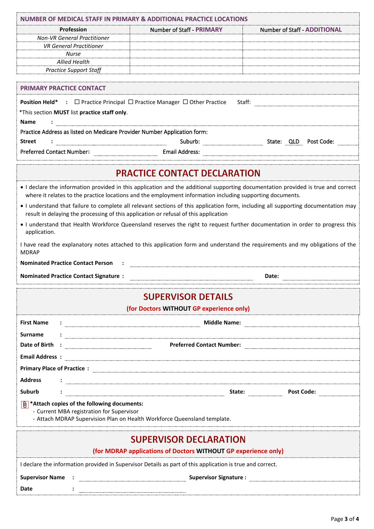|                                                                          | NUMBER OF MEDICAL STAFF IN PRIMARY & ADDITIONAL PRACTICE LOCATIONS                                                                                                                                                                             |                                                                                                                |
|--------------------------------------------------------------------------|------------------------------------------------------------------------------------------------------------------------------------------------------------------------------------------------------------------------------------------------|----------------------------------------------------------------------------------------------------------------|
| Profession                                                               | <b>Number of Staff - PRIMARY</b>                                                                                                                                                                                                               | <b>Number of Staff - ADDITIONAL</b>                                                                            |
| <b>Non-VR General Practitioner</b>                                       |                                                                                                                                                                                                                                                |                                                                                                                |
| <b>VR General Practitioner</b>                                           |                                                                                                                                                                                                                                                |                                                                                                                |
| <b>Nurse</b>                                                             |                                                                                                                                                                                                                                                |                                                                                                                |
| <b>Allied Health</b><br><b>Practice Support Staff</b>                    |                                                                                                                                                                                                                                                |                                                                                                                |
|                                                                          |                                                                                                                                                                                                                                                |                                                                                                                |
| <b>PRIMARY PRACTICE CONTACT</b>                                          |                                                                                                                                                                                                                                                |                                                                                                                |
|                                                                          | <b>Position Held*</b> : $\Box$ Practice Principal $\Box$ Practice Manager $\Box$ Other Practice                                                                                                                                                | Staff:                                                                                                         |
| *This section MUST list practice staff only.                             |                                                                                                                                                                                                                                                |                                                                                                                |
| <b>Name</b>                                                              |                                                                                                                                                                                                                                                |                                                                                                                |
| Practice Address as listed on Medicare Provider Number Application form: |                                                                                                                                                                                                                                                |                                                                                                                |
| <b>Street</b>                                                            |                                                                                                                                                                                                                                                |                                                                                                                |
|                                                                          | Preferred Contact Number: Email Address: Email Address:                                                                                                                                                                                        |                                                                                                                |
|                                                                          |                                                                                                                                                                                                                                                |                                                                                                                |
|                                                                          |                                                                                                                                                                                                                                                |                                                                                                                |
|                                                                          | <b>PRACTICE CONTACT DECLARATION</b>                                                                                                                                                                                                            |                                                                                                                |
|                                                                          | • I declare the information provided in this application and the additional supporting documentation provided is true and correct<br>where it relates to the practice locations and the employment information including supporting documents. |                                                                                                                |
|                                                                          | I understand that failure to complete all relevant sections of this application form, including all supporting documentation may<br>result in delaying the processing of this application or refusal of this application                       |                                                                                                                |
|                                                                          | . I understand that Health Workforce Queensland reserves the right to request further documentation in order to progress this                                                                                                                  |                                                                                                                |
| application.                                                             |                                                                                                                                                                                                                                                |                                                                                                                |
| <b>MDRAP</b>                                                             | I have read the explanatory notes attached to this application form and understand the requirements and my obligations of the                                                                                                                  |                                                                                                                |
| <b>Nominated Practice Contact Person :</b>                               |                                                                                                                                                                                                                                                |                                                                                                                |
| <b>Nominated Practice Contact Signature:</b>                             |                                                                                                                                                                                                                                                | Date:                                                                                                          |
|                                                                          | <b>SUPERVISOR DETAILS</b>                                                                                                                                                                                                                      |                                                                                                                |
|                                                                          | (for Doctors WITHOUT GP experience only)                                                                                                                                                                                                       |                                                                                                                |
| <b>First Name</b>                                                        |                                                                                                                                                                                                                                                |                                                                                                                |
| <b>Surname</b>                                                           |                                                                                                                                                                                                                                                |                                                                                                                |
|                                                                          |                                                                                                                                                                                                                                                | Preferred Contact Number: 2008 2009 2010 2010 2010 21:00:00 21:00:00 21:00:00 21:00:00 21:00:00 21:00:00 21:00 |
|                                                                          |                                                                                                                                                                                                                                                |                                                                                                                |
|                                                                          |                                                                                                                                                                                                                                                |                                                                                                                |
|                                                                          |                                                                                                                                                                                                                                                |                                                                                                                |
| <b>Address</b>                                                           |                                                                                                                                                                                                                                                |                                                                                                                |
| Suburb                                                                   |                                                                                                                                                                                                                                                |                                                                                                                |
| $\boxed{0}$ *Attach copies of the following documents:                   |                                                                                                                                                                                                                                                |                                                                                                                |
| - Current MBA registration for Supervisor                                | - Attach MDRAP Supervision Plan on Health Workforce Queensland template.                                                                                                                                                                       |                                                                                                                |
|                                                                          | <b>SUPERVISOR DECLARATION</b>                                                                                                                                                                                                                  |                                                                                                                |
|                                                                          | (for MDRAP applications of Doctors WITHOUT GP experience only)                                                                                                                                                                                 |                                                                                                                |
|                                                                          |                                                                                                                                                                                                                                                |                                                                                                                |
|                                                                          | I declare the information provided in Supervisor Details as part of this application is true and correct.                                                                                                                                      |                                                                                                                |
|                                                                          |                                                                                                                                                                                                                                                |                                                                                                                |